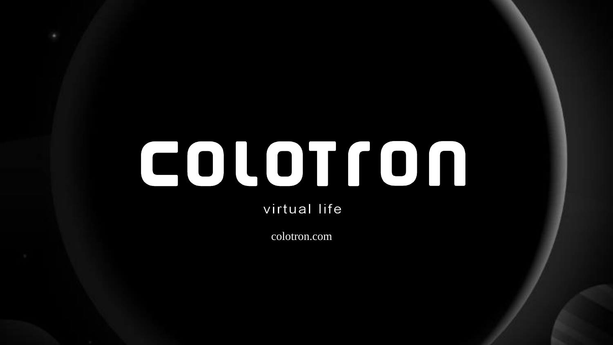# 

virtual life

colotron.com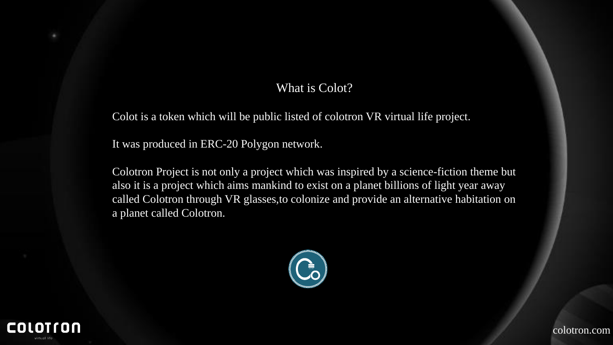### What is Colot?

Colot is a token which will be public listed of colotron VR virtual life project.

It was produced in ERC-20 Polygon network.

Colotron Project is not only a project which was inspired by a science-fiction theme but also it is a project which aims mankind to exist on a planet billions of light year away called Colotron through VR glasses,to colonize and provide an alternative habitation on a planet called Colotron.



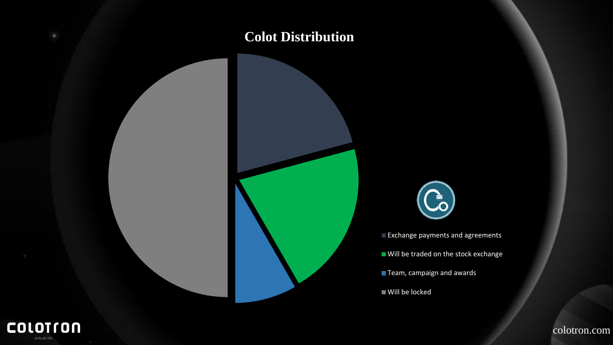## **Colot Distribution**



Exchange payments and agreements

Will be traded on the stock exchange

Team, campaign and awards

Will be locked

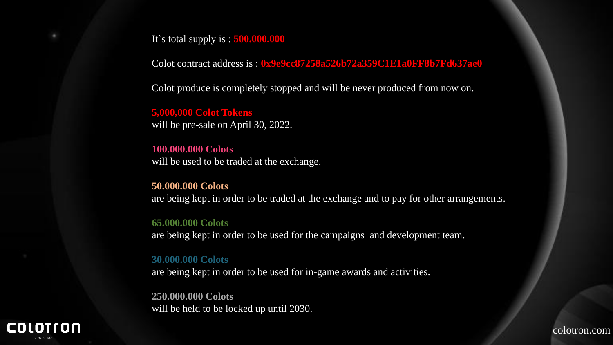It`s total supply is : **500.000.000**

Colot contract address is : **0x9e9cc87258a526b72a359C1E1a0FF8b7Fd637ae0**

Colot produce is completely stopped and will be never produced from now on.

**5,000,000 Colot Tokens**  will be pre-sale on April 30, 2022.

**100.000.000 Colots** will be used to be traded at the exchange.

**50.000.000 Colots** are being kept in order to be traded at the exchange and to pay for other arrangements.

#### **65.000.000 Colots**

are being kept in order to be used for the campaigns and development team.

#### **30.000.000 Colots**

are being kept in order to be used for in-game awards and activities.

**250.000.000 Colots** will be held to be locked up until 2030.

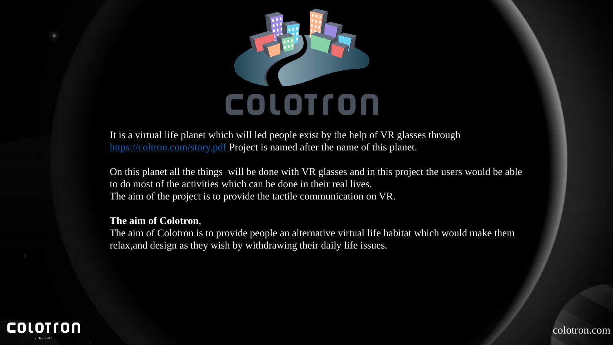

It is a virtual life planet which will led people exist by the help of VR glasses through <https://coltron.com/story.pdf> Project is named after the name of this planet.

On this planet all the things will be done with VR glasses and in this project the users would be able to do most of the activities which can be done in their real lives. The aim of the project is to provide the tactile communication on VR.

#### **The aim of Colotron**,

The aim of Colotron is to provide people an alternative virtual life habitat which would make them relax,and design as they wish by withdrawing their daily life issues.



colotron.com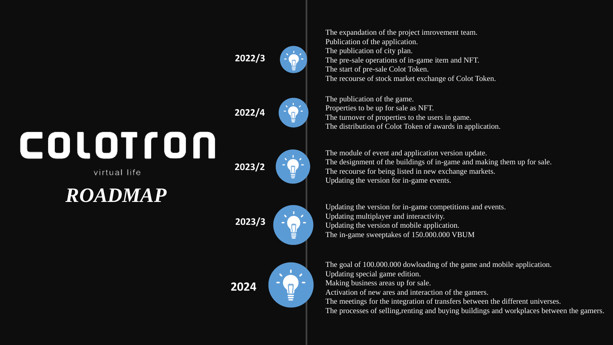**2022/3 2022/4** COLOTION **2023/2** virtual life

*ROADMAP*



The expandation of the project imrovement team. Publication of the application. The publication of city plan. The pre-sale operations of in-game item and NFT. The start of pre-sale Colot Token. The recourse of stock market exchange of Colot Token.

The publication of the game. Properties to be up for sale as NFT. The turnover of properties to the users in game. The distribution of Colot Token of awards in application.

The module of event and application version update. The designment of the buildings of in-game and making them up for sale. The recourse for being listed in new exchange markets. Updating the version for in-game events.

Updating the version for in-game competitions and events. Updating multiplayer and interactivity. Updating the version of mobile application. The in-game sweeptakes of 150.000.000 VBUM

The goal of 100.000.000 dowloading of the game and mobile application. Updating special game edition. Making business areas up for sale. Activation of new ares and interaction of the gamers. The meetings for the integration of transfers between the different universes. The processes of selling,renting and buying buildings and workplaces between the gamers.